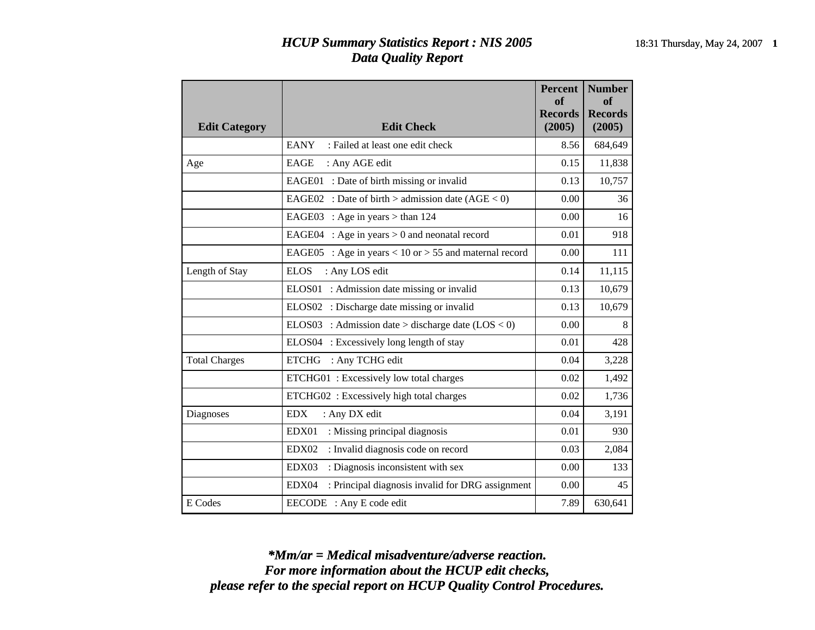## *HCUP Summary Statistics Report : NIS 2005* 18:31 Thursday, May 24, 2007 **1** *Data Quality Report*

| <b>Edit Category</b> | <b>Edit Check</b>                                             | <b>Percent</b><br>of<br><b>Records</b><br>(2005) | <b>Number</b><br>of<br><b>Records</b><br>(2005) |
|----------------------|---------------------------------------------------------------|--------------------------------------------------|-------------------------------------------------|
|                      | <b>EANY</b><br>: Failed at least one edit check               | 8.56                                             | 684,649                                         |
| Age                  | EAGE<br>: Any AGE edit                                        | 0.15                                             | 11,838                                          |
|                      | EAGE01 : Date of birth missing or invalid                     | 0.13                                             | 10,757                                          |
|                      | EAGE02 : Date of birth > admission date $(AGE < 0)$           | 0.00                                             | 36                                              |
|                      | : Age in years $>$ than 124<br>EAGE03                         | 0.00                                             | 16                                              |
|                      | EAGE04<br>: Age in years $> 0$ and neonatal record            | 0.01                                             | 918                                             |
|                      | : Age in years $< 10$ or $> 55$ and maternal record<br>EAGE05 | 0.00                                             | 111                                             |
| Length of Stay       | <b>ELOS</b><br>: Any LOS edit                                 | 0.14                                             | 11,115                                          |
|                      | : Admission date missing or invalid<br>ELOS01                 | 0.13                                             | 10,679                                          |
|                      | ELOS02 : Discharge date missing or invalid                    | 0.13                                             | 10,679                                          |
|                      | ELOS03 : Admission date > discharge date $(LOS < 0)$          | 0.00                                             | 8                                               |
|                      | ELOS04 : Excessively long length of stay                      | 0.01                                             | 428                                             |
| <b>Total Charges</b> | : Any TCHG edit<br><b>ETCHG</b>                               | 0.04                                             | 3,228                                           |
|                      | ETCHG01: Excessively low total charges                        | 0.02                                             | 1,492                                           |
|                      | ETCHG02: Excessively high total charges                       | 0.02                                             | 1,736                                           |
| Diagnoses            | <b>EDX</b><br>: Any DX edit                                   | 0.04                                             | 3,191                                           |
|                      | EDX01<br>: Missing principal diagnosis                        | 0.01                                             | 930                                             |
|                      | : Invalid diagnosis code on record<br>EDX02                   | 0.03                                             | 2,084                                           |
|                      | EDX03<br>: Diagnosis inconsistent with sex                    | 0.00                                             | 133                                             |
|                      | EDX04<br>: Principal diagnosis invalid for DRG assignment     | 0.00                                             | 45                                              |
| E Codes              | EECODE : Any E code edit                                      | 7.89                                             | 630,641                                         |

*please refer to the special report on HCUP Quality Control Procedures. For more information about the HCUP edit checks, \*Mm/ar = Medical misadventure/adverse reaction.*